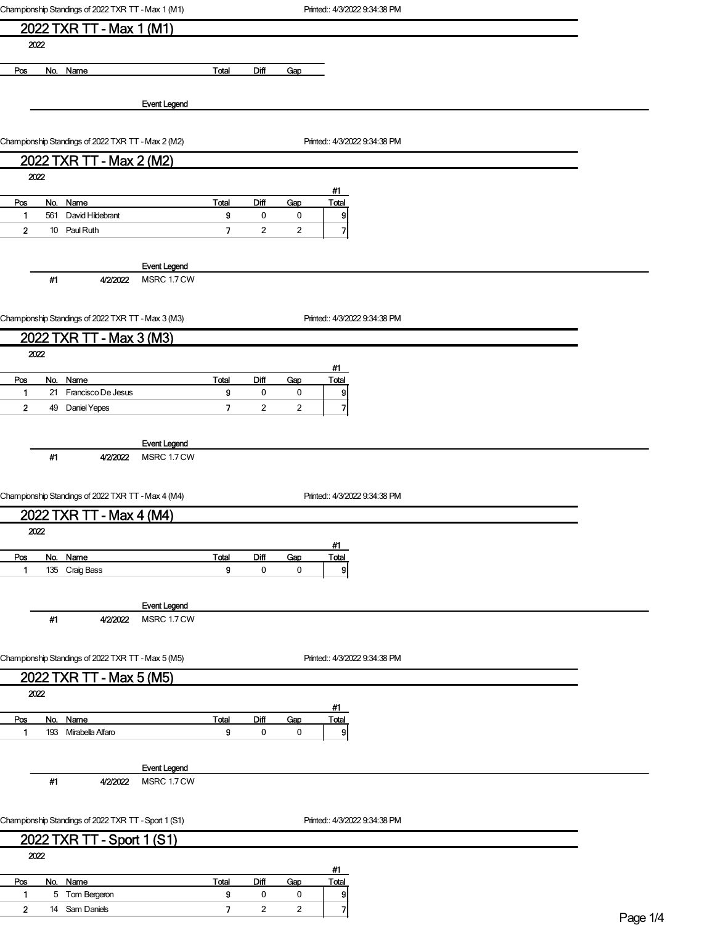|                         | Championship Standings of 2022 TXR TT - Max 1 (M1)   |                     |                          |                  |                         | Printed:: 4/3/2022 9:34:38 PM |              |
|-------------------------|------------------------------------------------------|---------------------|--------------------------|------------------|-------------------------|-------------------------------|--------------|
|                         | 2022 TXR TT - Max 1 (M1)                             |                     |                          |                  |                         |                               |              |
|                         | 2022                                                 |                     |                          |                  |                         |                               |              |
|                         |                                                      |                     |                          |                  |                         |                               |              |
| Pos                     | No. Name                                             |                     | Total                    | Diff             | Gap                     |                               |              |
|                         |                                                      |                     |                          |                  |                         |                               |              |
|                         |                                                      | <b>Event Legend</b> |                          |                  |                         |                               |              |
|                         |                                                      |                     |                          |                  |                         |                               |              |
|                         | Championship Standings of 2022 TXR TT - Max 2 (M2)   |                     |                          |                  |                         | Printed:: 4/3/2022 9:34:38 PM |              |
|                         | 2022 TXR TT - Max 2 (M2)                             |                     |                          |                  |                         |                               |              |
|                         | 2022                                                 |                     |                          |                  |                         |                               |              |
| Pos                     | No. Name                                             |                     | Total                    | Diff             | Gap                     | #1<br><b>Total</b>            |              |
| 1                       | 561<br>David Hildebrant                              |                     | 9                        | $\pmb{0}$        | $\pmb{0}$               | 9                             |              |
| $\overline{\mathbf{2}}$ | 10 Paul Ruth                                         |                     | 7                        | $\overline{c}$   | $\overline{\mathbf{c}}$ | $\overline{7}$                |              |
|                         |                                                      |                     |                          |                  |                         |                               |              |
|                         |                                                      | <b>Event Legend</b> |                          |                  |                         |                               |              |
|                         | #1<br>4/2/2022                                       | MSRC 1.7 CW         |                          |                  |                         |                               |              |
|                         |                                                      |                     |                          |                  |                         |                               |              |
|                         | Championship Standings of 2022 TXR TT - Max 3 (M3)   |                     |                          |                  |                         | Printed:: 4/3/2022 9:34:38 PM |              |
|                         | 2022 TXR TT - Max 3 (M3)                             |                     |                          |                  |                         |                               |              |
|                         | 2022                                                 |                     |                          |                  |                         |                               |              |
|                         |                                                      |                     |                          |                  |                         | #1                            |              |
| Pos<br>1                | No. Name<br>21 Francisco De Jesus                    |                     | Total<br>9               | <b>Diff</b><br>0 | Gap<br>0                | Total<br>$\mathbf{S}$         |              |
| $\mathbf{2}$            | 49 Daniel Yepes                                      |                     | 7                        | $\overline{c}$   | $\overline{c}$          | 7                             |              |
|                         |                                                      |                     |                          |                  |                         |                               |              |
|                         |                                                      | <b>Event Legend</b> |                          |                  |                         |                               |              |
|                         | #1<br>4/2/2022                                       | MSRC 1.7 CW         |                          |                  |                         |                               |              |
|                         |                                                      |                     |                          |                  |                         |                               |              |
|                         | Championship Standings of 2022 TXR TT - Max 4 (M4)   |                     |                          |                  |                         | Printed:: 4/3/2022 9:34:38 PM |              |
|                         | 2022 TXR TT - Max 4 (M4)                             |                     |                          |                  |                         |                               |              |
|                         | 2022                                                 |                     |                          |                  |                         |                               |              |
|                         |                                                      |                     |                          |                  |                         | #1                            |              |
| Pos                     | No.<br>Name                                          |                     | Total                    | Diff             | Gap                     | Total                         |              |
| 1                       | 135 Craig Bass                                       |                     | 9                        | 0                | $\pmb{0}$               | 9                             |              |
|                         |                                                      |                     |                          |                  |                         |                               |              |
|                         |                                                      | <b>Event Legend</b> |                          |                  |                         |                               |              |
|                         | #1<br>4/2/2022                                       | MSRC 1.7 CW         |                          |                  |                         |                               |              |
|                         |                                                      |                     |                          |                  |                         |                               |              |
|                         | Championship Standings of 2022 TXR TT - Max 5 (M5)   |                     |                          |                  |                         | Printed:: 4/3/2022 9:34:38 PM |              |
|                         | 2022 TXR TT - Max 5 (M5)                             |                     |                          |                  |                         |                               |              |
|                         | 2022                                                 |                     |                          |                  |                         |                               |              |
|                         |                                                      |                     |                          |                  |                         | #1                            |              |
| Pos<br>$\mathbf{1}$     | No.<br><b>Name</b><br>193 Mirabella Alfaro           |                     | Total<br>9               | Diff<br>0        | Gap<br>0                | <b>Total</b><br>$\mathbf{g}$  |              |
|                         |                                                      |                     |                          |                  |                         |                               |              |
|                         |                                                      | <b>Event Legend</b> |                          |                  |                         |                               |              |
|                         | #1<br>4/2/2022                                       | MSRC 1.7 CW         |                          |                  |                         |                               |              |
|                         |                                                      |                     |                          |                  |                         |                               |              |
|                         |                                                      |                     |                          |                  |                         |                               |              |
|                         | Championship Standings of 2022 TXR TT - Sport 1 (S1) |                     |                          |                  |                         | Printed:: 4/3/2022 9:34:38 PM |              |
|                         | 2022 TXR TT - Sport 1 (S1)                           |                     |                          |                  |                         |                               |              |
|                         | 2022                                                 |                     |                          |                  |                         | <u>#1</u>                     |              |
| Pos                     | No. Name                                             |                     | Total                    | Diff             | Gap                     | <b>Total</b>                  |              |
| 1                       | 5 Tom Bergeron                                       |                     | 9                        | 0                | 0                       | 9                             |              |
| $\mathbf{2}$            | 14 Sam Daniels                                       |                     | $\overline{\phantom{a}}$ | $\overline{c}$   | 2                       | 7                             | $D_{200}$ 1/ |

Page 1/4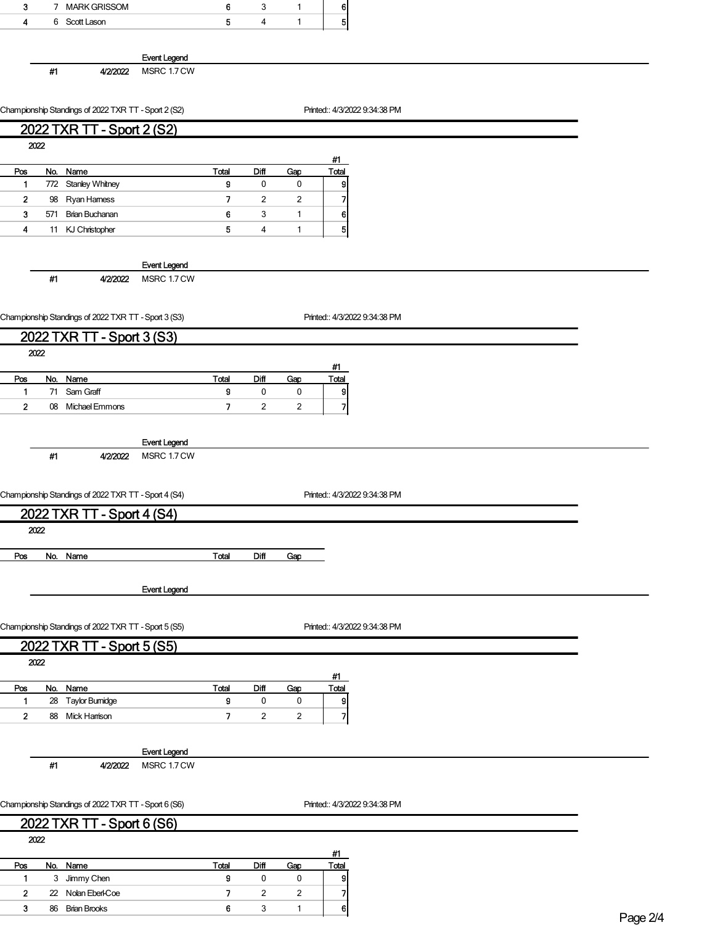| 3                       |       | 7 MARK GRISSOM                                       |                     | 6                        | 3                        | $\mathbf{1}$       | 6                             |  |  |  |
|-------------------------|-------|------------------------------------------------------|---------------------|--------------------------|--------------------------|--------------------|-------------------------------|--|--|--|
| 4                       |       | 6 Scott Lason                                        |                     | 5                        | $\overline{4}$           | $\mathbf{1}$       | 5                             |  |  |  |
|                         |       |                                                      |                     |                          |                          |                    |                               |  |  |  |
|                         |       |                                                      |                     |                          |                          |                    |                               |  |  |  |
|                         |       |                                                      | <b>Event Legend</b> |                          |                          |                    |                               |  |  |  |
|                         | #1    | 4/2/2022                                             | MSRC 1.7 CW         |                          |                          |                    |                               |  |  |  |
|                         |       |                                                      |                     |                          |                          |                    |                               |  |  |  |
|                         |       | Championship Standings of 2022 TXR TT - Sport 2 (S2) |                     |                          |                          |                    | Printed:: 4/3/2022 9:34:38 PM |  |  |  |
|                         |       |                                                      |                     |                          |                          |                    |                               |  |  |  |
|                         |       | 2022 TXR TT - Sport 2 (S2)                           |                     |                          |                          |                    |                               |  |  |  |
| 2022                    |       |                                                      |                     |                          |                          |                    |                               |  |  |  |
|                         |       |                                                      |                     | Total                    | Diff                     |                    | #1                            |  |  |  |
| Pos<br>1                |       | No. Name<br>772 Stanley Whitney                      |                     | 9                        | $\pmb{0}$                | Gap<br>0           | Total<br>9                    |  |  |  |
| $\mathbf 2$             |       | 98 Ryan Hamess                                       |                     | 7                        | $\overline{c}$           | $\overline{c}$     | 7                             |  |  |  |
| 3                       |       | 571 Brian Buchanan                                   |                     | 6                        | 3                        | 1                  | 6                             |  |  |  |
| 4                       |       | 11 KJ Christopher                                    |                     | 5                        | $\overline{4}$           | 1                  | 5                             |  |  |  |
|                         |       |                                                      |                     |                          |                          |                    |                               |  |  |  |
|                         |       |                                                      |                     |                          |                          |                    |                               |  |  |  |
|                         |       |                                                      | <b>Event Legend</b> |                          |                          |                    |                               |  |  |  |
|                         | #1    | 4/2/2022                                             | MSRC 1.7 CW         |                          |                          |                    |                               |  |  |  |
|                         |       |                                                      |                     |                          |                          |                    |                               |  |  |  |
|                         |       | Championship Standings of 2022 TXR TT - Sport 3 (S3) |                     |                          |                          |                    | Printed:: 4/3/2022 9:34:38 PM |  |  |  |
|                         |       | 2022 TXR TT - Sport 3 (S3)                           |                     |                          |                          |                    |                               |  |  |  |
|                         |       |                                                      |                     |                          |                          |                    |                               |  |  |  |
| 2022                    |       |                                                      |                     |                          |                          |                    | #1                            |  |  |  |
| Pos                     |       | No. Name                                             |                     | <b>Total</b>             | Diff                     | Gap                | Total                         |  |  |  |
| 1                       |       | 71 Sam Graff                                         |                     | 9                        | 0                        | 0                  | 9                             |  |  |  |
| $\mathbf{2}$            |       | 08 Michael Emmons                                    |                     | $\overline{\phantom{a}}$ | $\overline{2}$           | $\overline{c}$     | $\overline{\mathbf{z}}$       |  |  |  |
|                         |       |                                                      |                     |                          |                          |                    |                               |  |  |  |
|                         |       |                                                      |                     |                          |                          |                    |                               |  |  |  |
|                         |       |                                                      | <b>Event Legend</b> |                          |                          |                    |                               |  |  |  |
|                         | $\#1$ | 4/2/2022                                             | MSRC 1.7 CW         |                          |                          |                    |                               |  |  |  |
|                         |       |                                                      |                     |                          |                          |                    |                               |  |  |  |
|                         |       | Championship Standings of 2022 TXR TT - Sport 4 (S4) |                     |                          |                          |                    | Printed:: 4/3/2022 9:34:38 PM |  |  |  |
|                         |       | 2022 TXR TT - Sport 4 (S4)                           |                     |                          |                          |                    |                               |  |  |  |
| 2022                    |       |                                                      |                     |                          |                          |                    |                               |  |  |  |
|                         |       |                                                      |                     |                          |                          |                    |                               |  |  |  |
| Pos                     |       | No. Name                                             |                     | Total                    | Diff                     | Gap                |                               |  |  |  |
|                         |       |                                                      |                     |                          |                          |                    |                               |  |  |  |
|                         |       |                                                      | <b>Event Legend</b> |                          |                          |                    |                               |  |  |  |
|                         |       |                                                      |                     |                          |                          |                    |                               |  |  |  |
|                         |       |                                                      |                     |                          |                          |                    |                               |  |  |  |
|                         |       | Championship Standings of 2022 TXR TT - Sport 5 (S5) |                     |                          |                          |                    | Printed:: 4/3/2022 9:34:38 PM |  |  |  |
|                         |       | 2022 TXR TT - Sport 5 (S5)                           |                     |                          |                          |                    |                               |  |  |  |
| 2022                    |       |                                                      |                     |                          |                          |                    |                               |  |  |  |
|                         |       |                                                      |                     |                          |                          |                    | #1                            |  |  |  |
| Pos                     |       | No. Name                                             |                     | Total                    | Diff                     | Gap                | <b>Total</b>                  |  |  |  |
| $\mathbf{1}$            |       | 28 Taylor Bumidge                                    |                     | 9                        | 0                        | 0                  | 9                             |  |  |  |
| $\overline{\mathbf{2}}$ |       | 88 Mick Harrison                                     |                     | $\overline{\phantom{a}}$ | $\sqrt{2}$               | $\overline{c}$     | $\overline{\phantom{a}}$      |  |  |  |
|                         |       |                                                      |                     |                          |                          |                    |                               |  |  |  |
|                         |       |                                                      | <b>Event Legend</b> |                          |                          |                    |                               |  |  |  |
|                         | $\#1$ | 4/2/2022                                             | MSRC 1.7 CW         |                          |                          |                    |                               |  |  |  |
|                         |       |                                                      |                     |                          |                          |                    |                               |  |  |  |
|                         |       | Championship Standings of 2022 TXR TT - Sport 6 (S6) |                     |                          |                          |                    | Printed:: 4/3/2022 9:34:38 PM |  |  |  |
|                         |       |                                                      |                     |                          |                          |                    |                               |  |  |  |
|                         |       | 2022 TXR TT - Sport 6 (S6)                           |                     |                          |                          |                    |                               |  |  |  |
| 2022                    |       |                                                      |                     |                          |                          |                    |                               |  |  |  |
|                         |       |                                                      |                     |                          |                          |                    | #1                            |  |  |  |
| Pos<br>1                |       | No. Name<br>3 Jimmy Chen                             |                     | Total<br>9               | <b>Diff</b><br>$\pmb{0}$ | Gap<br>$\mathbf 0$ | <b>Total</b><br>$\mathsf{g}$  |  |  |  |
|                         |       |                                                      |                     |                          |                          |                    |                               |  |  |  |

2 22 Nolan Eberl-Coe 7 2 2 7<br>3 86 Brian Brooks 6 3 1 6

3 86 Brian Brooks 6 3 1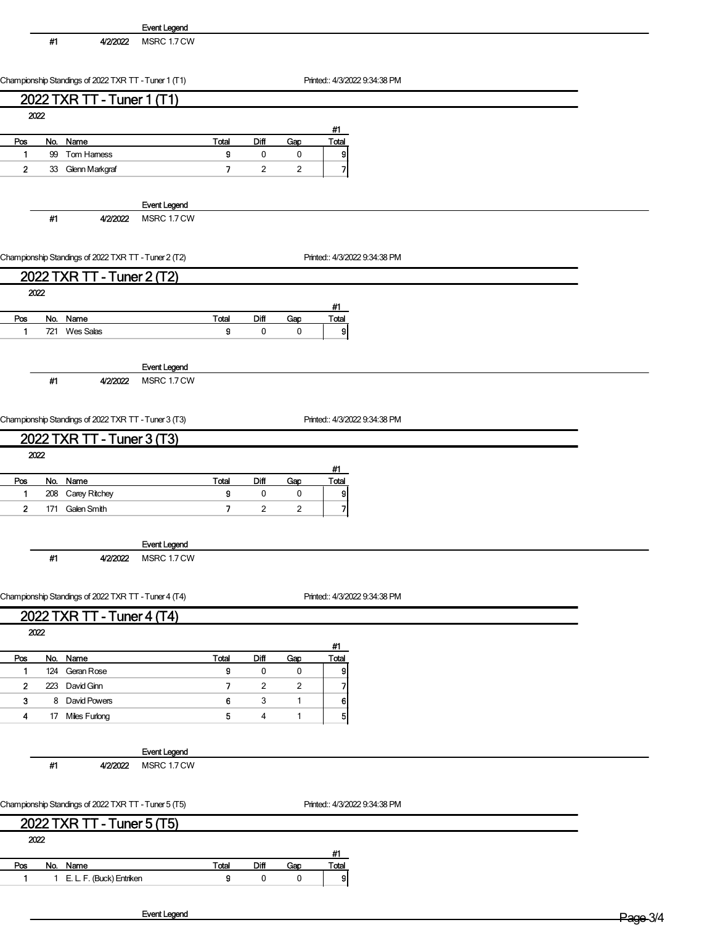|                | #1  | 4/2/2022                                             | <b>Event Legend</b><br>MSRC 1.7 CW |                          |                |                |                               |  |
|----------------|-----|------------------------------------------------------|------------------------------------|--------------------------|----------------|----------------|-------------------------------|--|
|                |     |                                                      |                                    |                          |                |                |                               |  |
|                |     |                                                      |                                    |                          |                |                | Printed:: 4/3/2022 9:34:38 PM |  |
|                |     | Championship Standings of 2022 TXR TT - Tuner 1 (T1) |                                    |                          |                |                |                               |  |
|                |     | 2022 TXR TT - Tuner 1 (T1)                           |                                    |                          |                |                |                               |  |
| 2022           |     |                                                      |                                    |                          |                |                | #1                            |  |
| Pos            |     | No. Name                                             |                                    | Total                    | Diff           | Gap            | Total                         |  |
| $\mathbf{1}$   |     | 99 Tom Hamess                                        |                                    | 9                        | $\pmb{0}$      | 0              | 9                             |  |
| $\mathbf{2}$   |     | 33 Glenn Markgraf                                    |                                    | $\overline{\phantom{a}}$ | $\overline{2}$ | $\overline{2}$ | 7                             |  |
|                |     |                                                      |                                    |                          |                |                |                               |  |
|                |     |                                                      | <b>Event Legend</b>                |                          |                |                |                               |  |
|                | #1  | 4/2/2022                                             | MSRC 1.7 CW                        |                          |                |                |                               |  |
|                |     |                                                      |                                    |                          |                |                |                               |  |
|                |     | Championship Standings of 2022 TXR TT - Tuner 2 (T2) |                                    |                          |                |                | Printed:: 4/3/2022 9:34:38 PM |  |
|                |     | 2022 TXR TT - Tuner 2 (T2)                           |                                    |                          |                |                |                               |  |
| 2022           |     |                                                      |                                    |                          |                |                |                               |  |
| Pos            |     | No. Name                                             |                                    | Total                    | Diff           | Gap            | #1<br>Total                   |  |
| 1              |     | 721 Wes Salas                                        |                                    | 9                        | $\pmb{0}$      | 0              | $\mathsf{g}$                  |  |
|                |     |                                                      |                                    |                          |                |                |                               |  |
|                |     |                                                      | <b>Event Legend</b>                |                          |                |                |                               |  |
|                | #1  | 4/2/2022                                             | MSRC 1.7 CW                        |                          |                |                |                               |  |
|                |     |                                                      |                                    |                          |                |                |                               |  |
|                |     | Championship Standings of 2022 TXR TT - Tuner 3 (T3) |                                    |                          |                |                | Printed:: 4/3/2022 9:34:38 PM |  |
|                |     |                                                      |                                    |                          |                |                |                               |  |
| 2022           |     | 2022 TXR TT - Tuner 3 (T3)                           |                                    |                          |                |                |                               |  |
|                |     |                                                      |                                    |                          |                |                | #1                            |  |
| Pos            |     | No. Name                                             |                                    | Total                    | Diff           | Gap            | <b>Total</b>                  |  |
| $\mathbf{1}$   |     | 208 Carey Ritchey                                    |                                    | 9                        | 0              | 0              | 9                             |  |
| $\overline{2}$ | 171 | Galen Smith                                          |                                    | 7                        | $\overline{2}$ | $\overline{2}$ | $\overline{\mathbf{z}}$       |  |
|                |     |                                                      |                                    |                          |                |                |                               |  |
|                | #1  | 4/2/2022                                             | <b>Event Legend</b><br>MSRC 1.7 CW |                          |                |                |                               |  |
|                |     |                                                      |                                    |                          |                |                |                               |  |
|                |     |                                                      |                                    |                          |                |                |                               |  |
|                |     | Championship Standings of 2022 TXR TT - Tuner 4 (T4) |                                    |                          |                |                | Printed:: 4/3/2022 9:34:38 PM |  |
|                |     | 2022 TXR TT - Tuner 4 (T4)                           |                                    |                          |                |                |                               |  |
| 2022           |     |                                                      |                                    |                          |                |                | #1                            |  |
| Pos            |     | No. Name                                             |                                    | Total                    | Diff           | Gap            | Total                         |  |
| 1              |     | 124 Geran Rose                                       |                                    | g                        | 0              | 0              | 9                             |  |
| $\mathbf{2}$   |     | 223 David Ginn                                       |                                    | $\overline{7}$           | $\overline{c}$ | $\overline{c}$ | $\overline{\mathbf{z}}$       |  |
| 3              |     | 8 David Powers                                       |                                    | 6                        | 3              | $\mathbf{1}$   | 6                             |  |
| 4              |     | 17 Miles Furlong                                     |                                    | 5                        | 4              | $\mathbf{1}$   | $5 \vert$                     |  |
|                |     |                                                      |                                    |                          |                |                |                               |  |
|                | #1  | 4/2/2022                                             | <b>Event Legend</b><br>MSRC 1.7 CW |                          |                |                |                               |  |
|                |     |                                                      |                                    |                          |                |                |                               |  |
|                |     |                                                      |                                    |                          |                |                |                               |  |
|                |     | Championship Standings of 2022 TXR TT - Tuner 5 (T5) |                                    |                          |                |                | Printed:: 4/3/2022 9:34:38 PM |  |
|                |     | 2022 TXR TT - Tuner 5 (T5)                           |                                    |                          |                |                |                               |  |
| 2022           |     |                                                      |                                    |                          |                |                |                               |  |
|                |     | No. Name                                             |                                    | <b>Total</b>             | Diff           |                | #1                            |  |
| Pos<br>1       |     | 1 E. L. F. (Buck) Entriken                           |                                    | 9                        | 0              | Gap<br>0       | <b>Total</b><br>$\vert$       |  |
|                |     |                                                      |                                    |                          |                |                |                               |  |

Event Legend Page 3/4